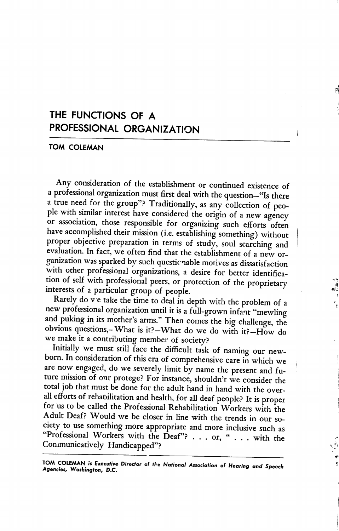## THE FUNCTIONS OF A PROFESSIONAL ORGANIZATION

## TOM COLEMAN

Any consideration of the establishment or continued existence of a professional organization must first deal with the question—"Is there a true need for the group"? Traditionally, as any collection of peo ple with similar interest have considered the origin of a new agency or association, those responsible for organizing such efforts often have accomplished their mission (i.e. establishing something) without proper objective preparation in terms of study, soul searching and evaluation. In fact, we often find that the establishment of a new or ganization was sparked by such questionable motives as dissatisfaction with other professional organizations, a desire for better identification of self with professional peers, or protection of the proprietary interests of a particular group of people.

Rarely do v e take the time to deal in depth with the problem of a new professional organization until it is a full-grown infant "mewling and puking in its mother's arms." Then comes the big challenge, the obvious questions,-What is it?—What do we do with it?—How do we make it a contributing member of society?

Initially we must still face the difficult task of naming our new born. In consideration of this era of comprehensive care in which we are now engaged, do we severely limit by name the present and future mission of our protege? For instance, shouldn't we consider the total job that must be done for the adult hand in hand with the over all efforts of rehabilitation and health, for all deaf people? It is proper for us to be called the Professional Rehabilitation Workers with the Adult Deaf? Would we be closer in line with the trends in our so ciety to use something more appropriate and more inclusive such as "Professional Workers with the Deaf"? . . . or, " . . . with the Communicatively Handicapped"?

TOM COLEMAN is Executive Director of the National Association of Hearing and Speech Agencies, Washington, D.C.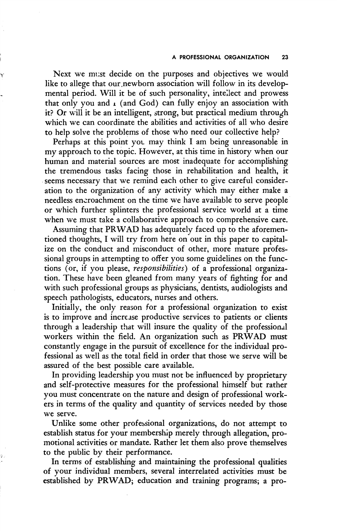Next we must decide on the purposes and objectives we would like to allege that our newborn association will follow in its developmental period. Will it be of such personality, intellect and prowess that only you and  $\iota$  (and God) can fully enjoy an association with it? Or will it be an intelligent, strong, but practical medium through which we can coordinate the abilities and activities of all who desire to help solve the problems of those who need our collective help?

Perhaps at this point you may think I am being unreasonable in my approach to the topic. However, at this time in history when our human and material sources are most inadequate for accomplishing the tremendous tasks facing those in rehabilitation and health, it seems necessary that we remind each other to give careful consider ation to the organization of any activity which may either make a needless encroachment on the time we have available to serve people or which further splinters the professional service world at a time when we must take a collaborative approach to comprehensive care.

Assuming that PRWAD has adequately faced up to the aforemen tioned thoughts, I will try from here on out in this paper to capital ize on the conduct and misconduct of other, more mature profes sional groups in attempting to offer you some guidelines on the func tions (or, if you please, responsibilities) of a professional organization. These have been gleaned from many years of fighting for and with such professional groups as physicians, dentists, audiologists and speech pathologists, educators, nurses and others.

Initially, the only reason for a professional organization to exist is to improve and increase productive services to patients or clients through a leadership that will insure the quality of the professional workers within the field. An organization such as PRWAD must constantly engage in the pursuit of excellence for the individual pro fessional as well as the total field in order that those we serve will be assured of the best possible care available.

In providing leadership you must not be influenced by proprietary and self-protective measures for the professional himself but rather you must concentrate on the nature and design of professional work ers in terms of the quality and quantity of services needed by those we serve.

Unlike some other professional organizations, do not attempt to establish status for your membership merely through allegation, pro motional activities or mandate. Rather let them also prove themselves to the public by their performance.

In terms of establishing and maintaining the professional qualities of your individual members, several interrelated activities must be established by PRWAD; education and training programs; a pro-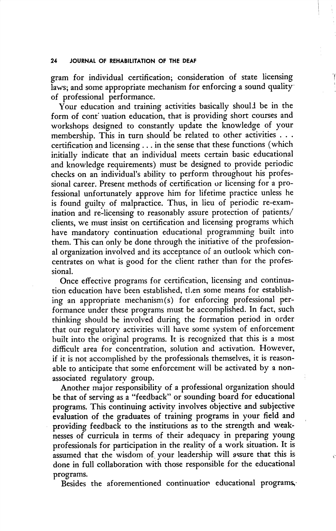## 24 JOURNAL OF REHABILITATION OF THE DEAF

gram for individual certification; consideration of state licensing laws; and some appropriate mechanism for enforcing a sound quality of professional performance.

Your education and training activities basically should be in the form of cont juation education, that is providing short courses and workshops designed to constantly update the knowledge of your membership. This in turn should be related to other activities . . . certification and licensing ... in the sense that these functions (which initially indicate that an individual meets certain basic educational and knowledge requirements) must be designed to provide periodic checks on an individual's ability to perform throughout his profes sional career. Present methods of certification or licensing for a pro fessional unfortunately approve him for lifetime practice unless he is found guilty of malpractice. Thus, in lieu of periodic re-exam ination and re-licensing to reasonably assure protection of patients/ clients, we must insist on certification and licensing programs which have mandatory continuation educational programming built into them. This can only be done through the initiative of the profession al organization involved and its acceptance of an outlook which con centrates on what is good for the client rather than for the profes sional.

Once effective programs for certification, licensing and continua tion education have been established, then some means for establish ing an appropriate mechanism (s) for enforcing professional per formance under these programs must be accomplished. In fact, such thinking should be involved during the formation period in order that our regulatory activities will have some system of enforcement built into the original programs. It is recognized that this is a most difficult area for concentration, solution and activation. However, if it is not accomplished by the professionals themselves, it is reason able to anticipate that some enforcement will be activated by a nonassociated regulatory group.

Another major responsibility of a professional organization should be that of serving as a "feedback" or sounding board for educational programs. This continuing activity involves objective and subjective evaluation of the graduates of training programs in your field and providing feedback to the institutions as to the strength and weak nesses of curricula in terms of their adequacy in preparing young professionals for participation in the reality of a work situation. It is assumed that the wisdom of your leadership will assure that this is done in full collaboration with those responsible for the educational programs.

Besides the aforementioned continuation educational programs,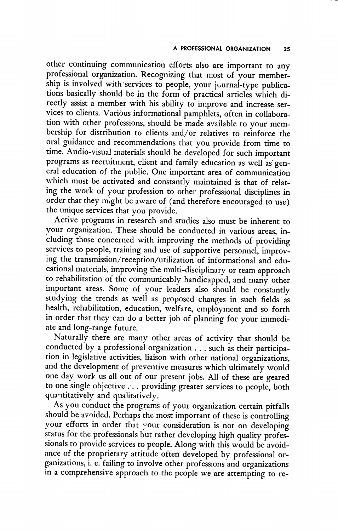other continuing communication efforts also are important to any professional organization. Recognizing that most of your member ship is involved with services to people, your journal-type publications basically should be in the form of practical articles which di rectly assist a member with his ability to improve and increase ser vices to clients. Various informational pamphlets, often in collabora tion with other professions, should be made available to your mem bership for distribution to clients and/or relatives to reinforce the oral guidance and recommendations that you provide from time to time. Audio-visual materials should be developed for such important programs as recruitment, client and family education as well as gen eral education of the public. One important area of communication which must be activated and constantly maintained is that of relat ing the work of your profession to other professional disciplines in order that they might be aware of (and therefore encouraged to use) the unique services that you provide.

Active programs in research and studies also must be inherent to your organization. These should be conducted in various areas, in cluding those concerned with improving the methods of providing services to people, training and use of supportive personnel, improv ing the transmission/reception/utilization of informational and edu cational materials, improving the multi-disciplinary or team approach to rehabilitation of the communicably handicapped, and many other important areas. Some of your leaders also should be constantly studying the trends as well as proposed changes in such fields as health, rehabilitation, education, welfare, employment and so forth in order that they can do a better job of planning for your immedi ate and long-range future.

Naturally there are many other areas of activity that should be conducted by a professional organization . . . such as their participa tion in legislative activities, liaison with other national organizations, and the development of preventive measures which ultimately would one day work us all out of our present jobs. All of these are geared to one single objective ... providing greater services to people, both quantitatively and qualitatively.

As you conduct the programs of your organization certain pitfalls should be avoided. Perhaps the most important of these is controlling your efforts in order that your consideration is not on developing status for the professionals but rather developing high quality profes sionals to provide services to people. Along with this would be avoid ance of the proprietary attitude often developed by professional or ganizations, i. e. failing to involve other professions and organizations in a comprehensive approach to the people we are attempting to re-